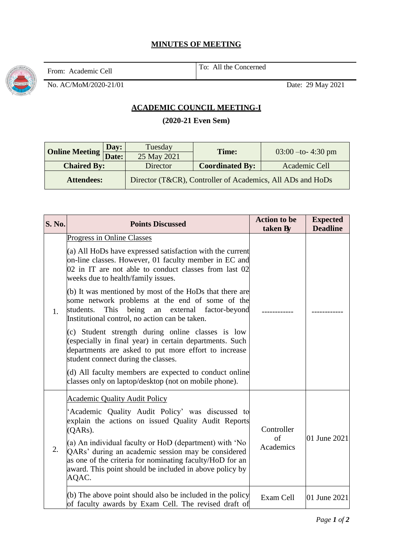## **MINUTES OF MEETING**

From: Academic Cell **To:** All the Concerned

No. AC/MoM/2020-21/01 Date: 29 May 2021

## **ACADEMIC COUNCIL MEETING-I**

**(2020-21 Even Sem)**

| <b>Online Meeting Date:</b> | Day: | Tuesday                                                    | Time:                  | $03:00 -$ to-4:30 pm |  |
|-----------------------------|------|------------------------------------------------------------|------------------------|----------------------|--|
|                             |      | 25 May 2021                                                |                        |                      |  |
| <b>Chaired By:</b>          |      | Director                                                   | <b>Coordinated By:</b> | Academic Cell        |  |
| <b>Attendees:</b>           |      | Director (T&CR), Controller of Academics, All ADs and HoDs |                        |                      |  |

| <b>S. No.</b> | <b>Points Discussed</b>                                                                                                                                                                                                                                                                                                                                                                                                                                                                                                                                                                                                                                                                                                                                                                                                   | <b>Action to be</b><br>taken By | <b>Expected</b><br><b>Deadline</b> |
|---------------|---------------------------------------------------------------------------------------------------------------------------------------------------------------------------------------------------------------------------------------------------------------------------------------------------------------------------------------------------------------------------------------------------------------------------------------------------------------------------------------------------------------------------------------------------------------------------------------------------------------------------------------------------------------------------------------------------------------------------------------------------------------------------------------------------------------------------|---------------------------------|------------------------------------|
| 1.            | <b>Progress in Online Classes</b><br>(a) All HoDs have expressed satisfaction with the current<br>on-line classes. However, 01 faculty member in EC and<br>02 in IT are not able to conduct classes from last 02<br>weeks due to health/family issues.<br>(b) It was mentioned by most of the HoDs that there are<br>some network problems at the end of some of the<br>being<br>students.<br>This<br>external<br>factor-beyond<br>an<br>Institutional control, no action can be taken.<br>(c) Student strength during online classes is low<br>(especially in final year) in certain departments. Such<br>departments are asked to put more effort to increase<br>student connect during the classes.<br>(d) All faculty members are expected to conduct online<br>classes only on laptop/desktop (not on mobile phone). |                                 |                                    |
| 2.            | <b>Academic Quality Audit Policy</b><br>Academic Quality Audit Policy' was discussed to<br>explain the actions on issued Quality Audit Reports<br>$(QARS)$ .<br>(a) An individual faculty or HoD (department) with 'No<br>QARs' during an academic session may be considered<br>as one of the criteria for nominating faculty/HoD for an<br>award. This point should be included in above policy by<br>AQAC.                                                                                                                                                                                                                                                                                                                                                                                                              | Controller<br>of<br>Academics   | 01 June 2021                       |
|               | (b) The above point should also be included in the policy<br>of faculty awards by Exam Cell. The revised draft of                                                                                                                                                                                                                                                                                                                                                                                                                                                                                                                                                                                                                                                                                                         | Exam Cell                       | 01 June 2021                       |